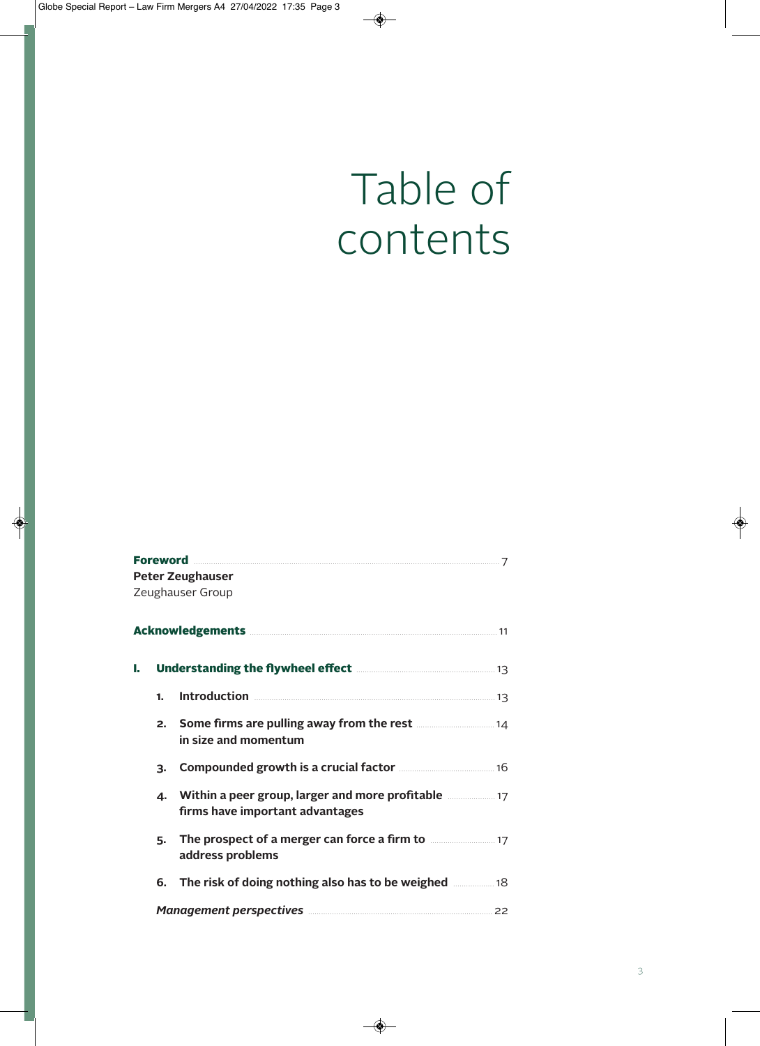## Table of contents

|    |    | <b>Peter Zeughauser</b>                                                                             |  |  |  |
|----|----|-----------------------------------------------------------------------------------------------------|--|--|--|
|    |    | Zeughauser Group                                                                                    |  |  |  |
|    |    | Acknowledgements <b>Executive Contract 21</b> 11                                                    |  |  |  |
| ь. |    |                                                                                                     |  |  |  |
|    | 1. | <b>Introduction</b> 23                                                                              |  |  |  |
|    | 2. | <b>Some firms are pulling away from the rest <i>multiment</i></b> 14<br>in size and momentum        |  |  |  |
|    | 3. | Compounded growth is a crucial factor <b>Manufation</b> 16                                          |  |  |  |
|    | Δ. | Within a peer group, larger and more profitable <b>manual</b> 17<br>firms have important advantages |  |  |  |
|    | 5. | The prospect of a merger can force a firm to <b>manual</b> 17<br>address problems                   |  |  |  |
|    |    | 6. The risk of doing nothing also has to be weighed <b>manually</b> 18                              |  |  |  |
|    |    | Management perspectives <b>Management</b> perspectives <b>Management</b> 22                         |  |  |  |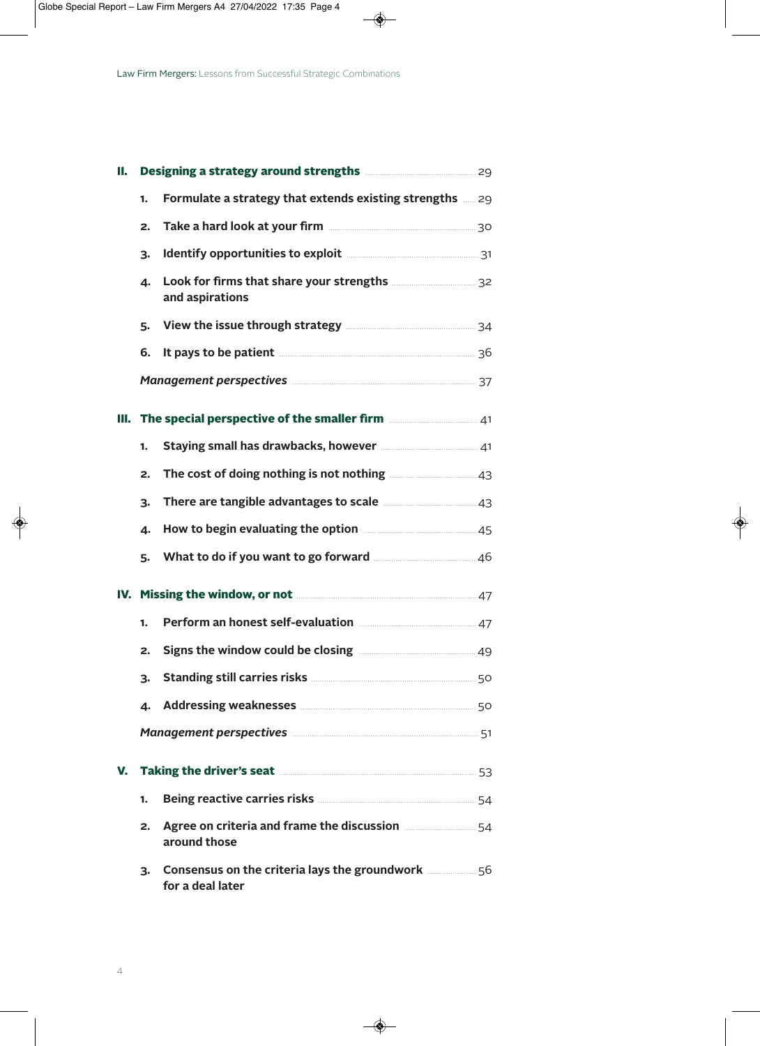| II. |                                                                         | Designing a strategy around strengths <b>manufatility</b> 29                                                                                                                                                                         |  |
|-----|-------------------------------------------------------------------------|--------------------------------------------------------------------------------------------------------------------------------------------------------------------------------------------------------------------------------------|--|
|     | 1.                                                                      | Formulate a strategy that extends existing strengths  29                                                                                                                                                                             |  |
|     | 2.                                                                      | Take a hard look at your firm <b>manufacture and the set of the set of the set of the set of the set of the set of the set of the set of the set of the set of the set of the set of the set of the set of the set of the set of</b> |  |
|     | 3.                                                                      | Identify opportunities to exploit <b>Manual</b> 21 and 21                                                                                                                                                                            |  |
|     | 4.                                                                      | and aspirations                                                                                                                                                                                                                      |  |
|     | 5.                                                                      | View the issue through strategy <b>manually and the issue through strategy</b>                                                                                                                                                       |  |
|     | 6.                                                                      | It pays to be patient <b>Manual According to the pays</b> 36                                                                                                                                                                         |  |
|     |                                                                         | Management perspectives <b>Management</b> perspectives <b>Management</b> perspectives <b>Management</b> 37                                                                                                                           |  |
|     | III. The special perspective of the smaller firm <b>manually 120</b> 41 |                                                                                                                                                                                                                                      |  |
|     | 1.                                                                      | Staying small has drawbacks, however <b>manufation</b> and 41                                                                                                                                                                        |  |
|     | 2.                                                                      | The cost of doing nothing is not nothing <b>manufactures</b> 43                                                                                                                                                                      |  |
|     | 3.                                                                      | There are tangible advantages to scale <b>manufator</b> 43                                                                                                                                                                           |  |
|     | 4.                                                                      | How to begin evaluating the option <b>Manual</b> 25 and 45                                                                                                                                                                           |  |
|     | 5.                                                                      | What to do if you want to go forward <b>Martin 2008</b> 46                                                                                                                                                                           |  |
|     |                                                                         | IV. Missing the window, or not <b>Manual</b> Manuscription 47                                                                                                                                                                        |  |
|     | 1.                                                                      | Perform an honest self-evaluation <b>manually and the Automaker Address</b> 47                                                                                                                                                       |  |
|     | 2.                                                                      | Signs the window could be closing <b>manufature and the window could be closing</b>                                                                                                                                                  |  |
|     | 3.                                                                      | Standing still carries risks <b>Manual According to the Standing Standing Standing Standing Standing Standing Standing Standing Standing Standing Standing Standing Standing Standing Standing Standing Standing Standing Standi</b> |  |
|     | 4.                                                                      | Addressing weaknesses <b>Manual Manual Community</b> 50                                                                                                                                                                              |  |
|     |                                                                         | Management perspectives <b>Management</b> perspectives <b>Management</b> perspectives <b>Management</b> 51                                                                                                                           |  |
| v.  | Taking the driver's seat <b>Manual Commission</b> 53                    |                                                                                                                                                                                                                                      |  |
|     | 1.                                                                      | Being reactive carries risks <b>Manual According to the Street Street Street</b> 54                                                                                                                                                  |  |
|     | 2.                                                                      | Agree on criteria and frame the discussion <b>manual</b> 54<br>around those                                                                                                                                                          |  |
|     | З.                                                                      | Consensus on the criteria lays the groundwork <b></b> 56<br>for a deal later                                                                                                                                                         |  |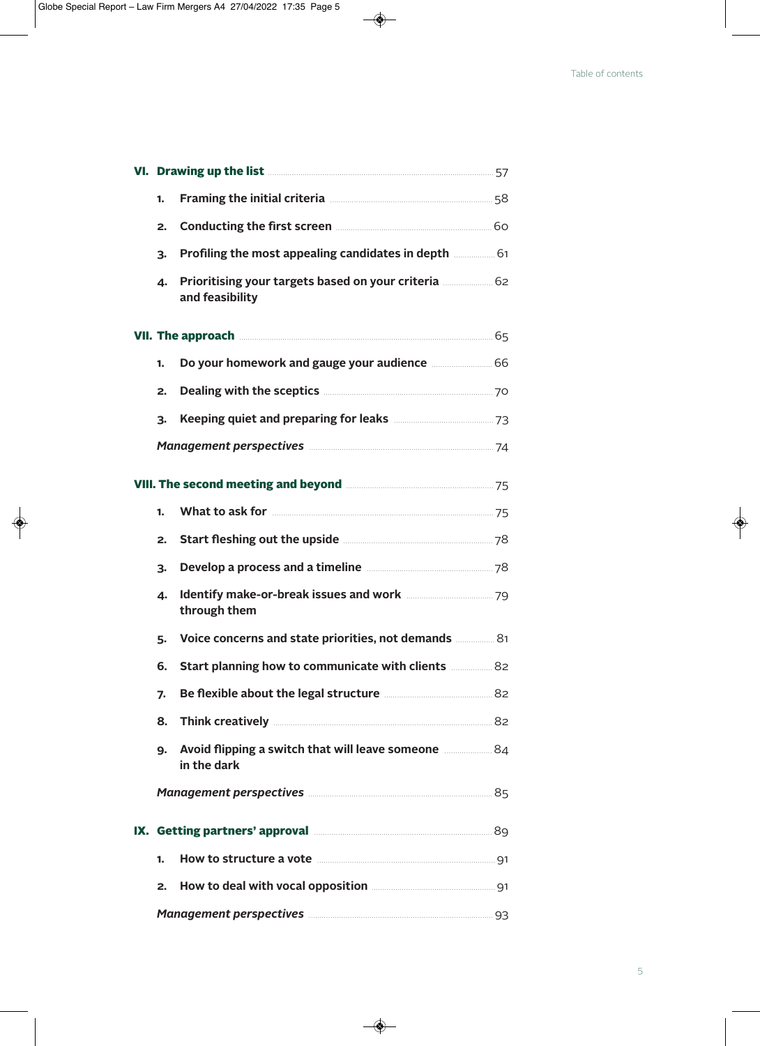|    | VI. Drawing up the list <b>Manual According to the Strawing Strawing Strawing Strawing Strawing Strawing Strawing Strawing Strawing Strawing Strawing Strawing Strawing Strawing Strawing Strawing Strawing Strawing Strawing St</b> |  |
|----|--------------------------------------------------------------------------------------------------------------------------------------------------------------------------------------------------------------------------------------|--|
| 1. | Framing the initial criteria <b>Manual According to the initial criteria</b> Manual According to the 58                                                                                                                              |  |
| 2. | Conducting the first screen <b>Manual Conducting the first screen</b>                                                                                                                                                                |  |
| 3. | Profiling the most appealing candidates in depth <b>manual</b> 61                                                                                                                                                                    |  |
| 4. | Prioritising your targets based on your criteria <b>manually 12</b> 62<br>and feasibility                                                                                                                                            |  |
|    | <b>VII. The approach <u>communities</u></b> 65                                                                                                                                                                                       |  |
| 1. | Do your homework and gauge your audience <b>manually 100</b>                                                                                                                                                                         |  |
| 2. | Dealing with the sceptics <b>Manual Acception</b> 70                                                                                                                                                                                 |  |
| 3. | Keeping quiet and preparing for leaks <b>Manual</b> 23 Meeping quiet and preparing for leaks                                                                                                                                         |  |
|    | Management perspectives <b>Management</b> perspectives <b>Management</b> perspectives <b>Management</b> 74                                                                                                                           |  |
|    | VIII. The second meeting and beyond <b>Manual Accord 25</b> 75                                                                                                                                                                       |  |
| 1. |                                                                                                                                                                                                                                      |  |
| 2. | Start fleshing out the upside <b>Manual Start fleshing out the upside</b>                                                                                                                                                            |  |
| 3. | Develop a process and a timeline <b>manually and a</b> 78                                                                                                                                                                            |  |
| 4. | through them                                                                                                                                                                                                                         |  |
| 5. | Voice concerns and state priorities, not demands <b></b> 81                                                                                                                                                                          |  |
| 6. | Start planning how to communicate with clients <b>manuform</b> 82                                                                                                                                                                    |  |
| 7. | Be flexible about the legal structure <b>Manual</b> 2020-2021                                                                                                                                                                        |  |
| 8. | Think creatively <b>Manual Community</b> 82                                                                                                                                                                                          |  |
| 9. | Avoid flipping a switch that will leave someone <b>manuform</b> 84<br>in the dark                                                                                                                                                    |  |
|    | Management perspectives <b>Management</b> Bershelt and Allen Bershelt and Allen Bershelt and Allen Bershelt and Allen                                                                                                                |  |
|    | IX. Getting partners' approval <b>Manual According to the SCI</b>                                                                                                                                                                    |  |
| 1. | How to structure a vote <b>Manual</b> Structure 1                                                                                                                                                                                    |  |
| 2. |                                                                                                                                                                                                                                      |  |
|    | Management perspectives <b>Management</b> perspectives <b>Management</b> perspectives <b>Management</b> 93                                                                                                                           |  |